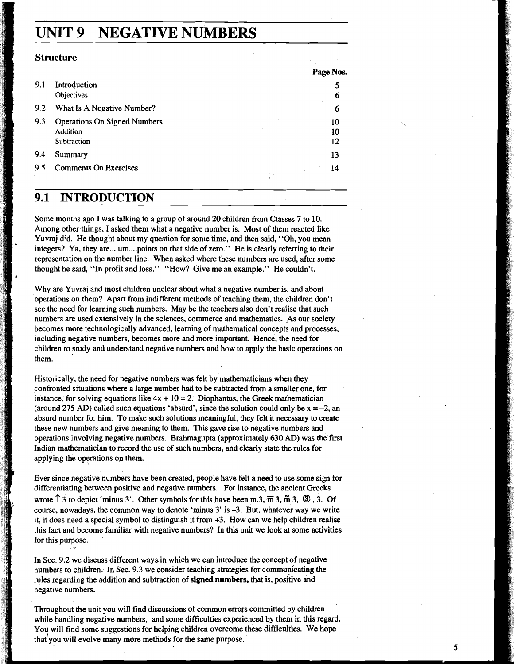# **UNIT 9 NEGATIVE NUMBERS**

#### **Structure**

|     |                                     | Page Nos. |
|-----|-------------------------------------|-----------|
| 9.1 | Introduction                        |           |
|     | Objectives                          | 6         |
| 9.2 | What Is A Negative Number?          | 6         |
| 9.3 | <b>Operations On Signed Numbers</b> | 10        |
|     | Addition                            | 10        |
|     | Subtraction                         | 12        |
| 9.4 | Summary                             | 13        |
| 9.5 | <b>Comments On Exercises</b>        | 14        |
|     |                                     |           |

### **9.1 INTRODUCTION**

Some months ago I was talking to a group of around 20 children from Classes **7** to 10. Among other things, I asked them what a negative number is. Most of them reacted like Yuvraj d:d. He thought about my question for some time, and then said, "Oh, you mean integers? Ya, they are .... um.... points on that side of zero." He is clearly referring to their representation on the number line. When asked where these numbers are used, after some thought he said, "In profit and loss." "How? Give me an example." He couldn't.

Why are Yuvraj and most children unclear about what a negative number is, and about operations on them? Apart from indifferent methods of teaching them, the children don't see the need for learning such numbers. May be the teachers also don't realise that such numbers are used extensively in the sciences, commerce and mathematics. As our society becomes more technologically advanced, learning of mathematical concepts and processes, including negative numbers, becomes more and more important. Hence, the need for children to study and understand negative numbers and how to apply the basic operations on them.

Historically, the need for negative numbers was felt by mathematicians when they confronted situations where a large number had to be subtracted from a smaller one, for instance, for solving equations like  $4x + 10 = 2$ . Diophantus, the Greek mathematician (around 275 AD) called such equations 'absurd', since the solution could only be  $x = -2$ , an absurd number fo: him. To make such solutions meaningful, they felt it necessary to create these new numbers and give meaning to them. This gave rise to negative numbers and operations involving negative numbers. Brahmagupta (approximately 630 AD) was the first Indian mathematician to record the use of such numbers, and clearly state the rules for applying the operations on them.

Ever since negative numbers have been created, people have felt a need to use some sign for differentiating between positive and negative numbers. For instance, the ancient Greeks wrote  $\hat{\Gamma}$  3 to depict 'minus 3'. Other symbols for this have been m.3,  $\overline{m}$  3,  $\overline{m}$  3,  $\overline{w}$ , 3. Of course, nowadays, the common way to denote 'minus **3'** is **-3.** But, whatever way we write it, it does need a special symbol to distinguish it from **+3.** How can we help children realise this fact and become familiar with negative numbers? In this unit we look at some activities for this purpose.

In **Sec. 9.2** we discuss different waysin which we can introduce the concept of negative numbers to children. In Sec. **9.3** we consider teaching strategies for communicating the rules regarding the addition and subtraction of **signed numbers,** that is, positive and negative numbers.

Throughout the unit you will find discussions of common errors committed by children while handling negative numbers, and some difficulties experienced by them in this regard. You will find some suggestions for helping children overcome these difficulties. We hope that you will evolve many more methods for the same purpose.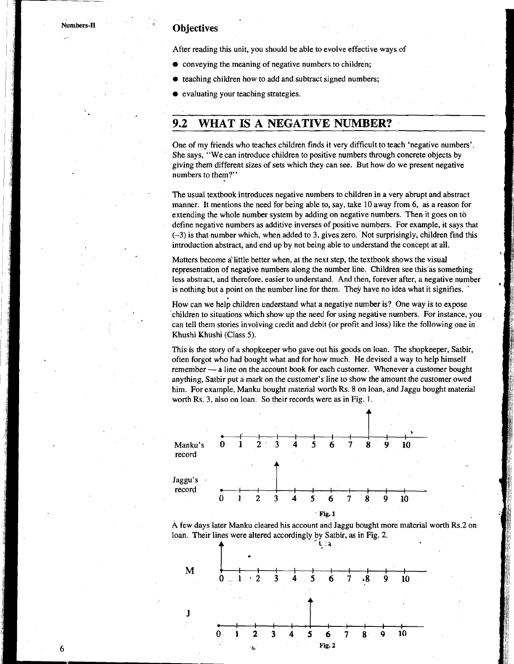### **Objectives**

After reading this unit, you should be able to evolve effective ways of

- $\bullet$  conveying the meaning of negative numbers to children;
- teaching children how to add and subtract signed numbers;
- evaluating your teaching strategies.

## **9.2** - **WHAT-IS A NEGATIVE NUMBER?**

One of my friends who teaches children finds it very difficult to teach 'negative numbers'. She says, "We can introduce children to positive numbers through concrete objects by giving them different sizes of sets which they can see. But how do we present negative numbers to them?"

- - -

The usual textbook introduces negative numbers to children in a very abrupt and abstract manner. It mentions the need for being able to, say, take 10 away from 6, **as** a reason for extending the whole number system by adding on negative numbers. Then it goes on to define negative numbers as additive inverses of positive numbers. For example, it says that (-3) is that number which, when added to 3, gives zero. Not surprisingly, children find this introduction abstract, and end up by not being able to understand the concept at all.

Matters become a little better when, at the next step, the textbook shows the visual representation of negative numbers along the number line. Children see this as something less abstract, and therefore, easier to understand. And then, forever after, a negative number is nothing but a point on the number line for them. They have no idea what it signifies.

How can we help children understand what a negatiye number is? One way is to expose 'children to situations which show up the need for using negative numbers. For instance, you can tell them stories involving credit and debit (or profit and loss) like the following one in Khushi Khushi (Class 5).

This is the story of a shopkeeper who gave out his goods on loan. The shopkeeper, Satbir, often forgot who had bought what and for how much. He devised a way to help himself This is the story of a shopkeeper who gave out his goods on loan. The shopkeeper, Satbir, often forgot who had bought what and for how much. He devised a way to help himself remember  $-$  a line on the account book for eac anything, Satbir put a mark on the customer's line to show the amount the customer owed him. For example, Manku bought material worth Rs. 8 on loan, and Jaggu bought material worth Rs. 3, also on loan. So their records were as in Fig. 1.





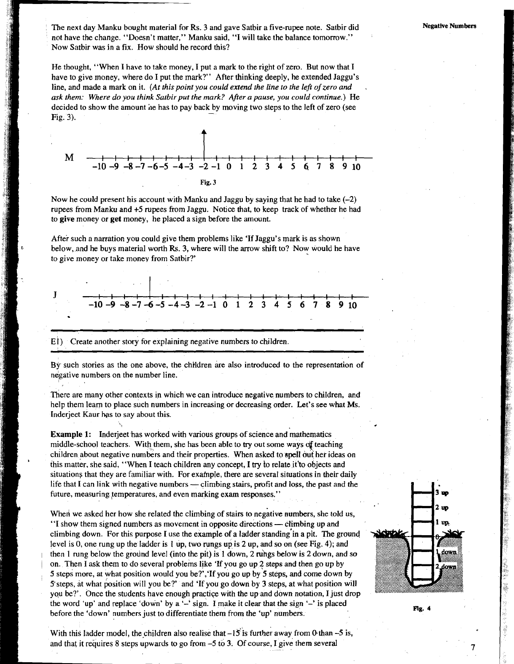The next day Manku bought material for Rs. 3 and gave Satbir a five-rupee note. Satbir did not have the change. "Doesn't matter," Manku said, "I will take the balance tomorrow." Now Satbir was in a fix. How should he record this?

He thought, "When I have to take money, I put a mark to the right of zero. But now that I have to give money, where do I put the mark?" After thinking deeply, he extended Jaggu's line, and made a mark on it. *(At this point you could extend the line to the lejl of zero and* . ask them: Where do you think Satbir put the mark? After a pause, you could continue.) He



Now he could present his account with Manku and Jaggu by saying that he had to take *(-2)*  rupees from Manku and **+5** rupees from Jaggu. Notice that, to keep track of whether he had to **give** money or **get** money, he placed a sign before the amount.

After such a narration you could give them problems like 'If Jaggu's mark is as shown below, and he buys material worth **Rs.** 3, where will the arrow shift to? Now would he have to give money or take money from Satbir?'



By such stories as the one above, the children are also introduced to the representation of negative numbers on the number line.

There are many other contexts in which we can introduce negative numbers to children, and help them learn to place such numbers in increasing or decreasing order. Let's see what Ms. Inderjeet Kaur has to say about this.

Example 1: Inderjeet has worked with various groups of science and mathematics middle-school teachers, With them, she has been able to **try** out some ways **df** teaching children about negative numbers and their properties. When asked to spell out her ideas on this matter, she said, "When I teach children any concept, I **try** to relate it'to objects and situations that they are familiar with. For exafnple, there are several situations in their daily life that I can link with negative numbers  $\sim$  climbing stairs, profit and loss, the past and the future, measuring temperatures, and even marking exam responses."

When we asked her how she related the climbing of stairs to negative numbers, she told us, When we asked her how she related the climbing of stairs to negative numbers, she toles.<br>"I show them signed numbers as movement in opposite directions — climbing up and climbing down. For this purpose I use the example of a ladder standing'in a pit. The ground level is 0, one rung up the ladder is **1** up, two rungs **up** is *2* up, and so on (see Fig. 4); and then 1 rung below the ground level (into the pit) is 1 down, 2 rungs below is 2 down, and so <sup>1</sup>on. Then I ask them to do several problems like 'If you go up 2 steps and then go up by 5 steps more, at what position would you be?','If you go up by 5 steps, and come down by S'steps, at what position will you be?' and 'If you go down by 3 steps, at what position will you be?'. Once the students have enough practice with the up and down notation, I just drop the word 'up' and replace 'down' by a '-' sign. I make it clear that the sign '-' is placed before the 'down' numbers just to differentiate them from the 'up' numbers.





Fig.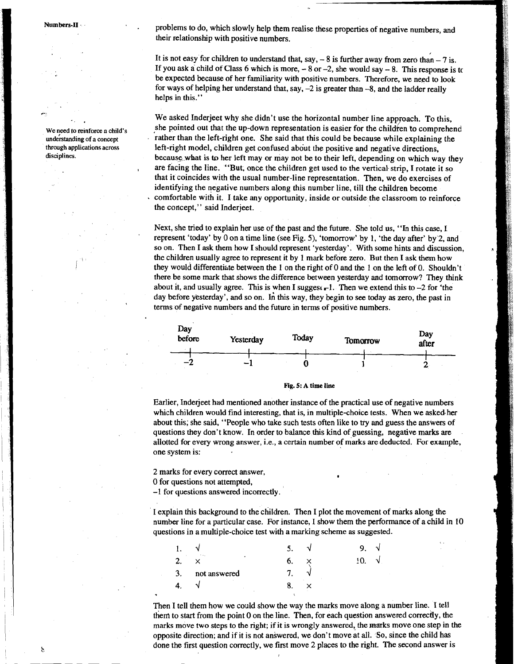Numbers-II

We need to reinforce a child's **understanding of a concept through applications across disciplines.** 

problems to do, which slowly help them realise these properties of negative numbers, and their relationship with positive numbers.

It is not easy for children to understand that, say,  $-8$  is further away from zero than  $-7$  is. If you ask a child of Class 6 which is more,  $-8$  or  $-2$ , she would say  $-8$ . This response is to be expected because of her familiarity with positive numbers. Therefore, we need to look for ways of helping her understand that, say, -2 is greater than -8, and the ladder really helps in this."

We asked Inderjeet why she didn't use the horizontal number line approach. To this, she pointed out that the up-down representation is easier for the children to comprehend rather than the left-right one. She said that this could be because while explaining the left-right model, children get confused about the positive and negative directions. because what is to her left may or may not be to their left, depending on which way they are facing the line. "But, once the children get used to the vertical strip, I rotate it so that it coincides with the usual number-line representation. Then, we do exercises of identifying the negative numbers along this number line, till the children become comfortable with it. I take any opportunity, inside or outside the classroom to reinforce the concept," said Inderjeet.

Next, she tried to explain her use of the past and the future. She told us, "In this case, I represent 'today' by 0 on a time line (see Fig. 5), 'tomorrow' by 1, 'the day after' by'2, and so on. Then I ask them how I should represent 'yesterday'. With some hints and discussion, the children usually agree to represent it by 1 mark before zero. But then I ask them how they would differentiate between the 1 on the right of 0 and the 1 on the left of 0. Shouldn't there be some mark that shows the difference between yesterday and tomorrow? They think about it, and usually agree. This is when I suggest  $\overline{I}$ . Then we extend this to  $-2$  for 'the day before yesterday', and so on. In this way, they begin to see today as zero, the past in terms of negative numbers and the future in terms of positive numbers.



**Fig. 5: A time line** 

Earlier, Inderjeet had mentioned another instance of the practical use of negative numbers which children would find interesting, that is, in multiple-choice tests. When we asked-her about this; she said, "People who take such tests often like to try and guess the answers of questions they don't know. In order to balance this kind of guessing, negative marks are allotted for every wrong answer, i.e., a certain number of marks are deducted. For example, one system is:

2 marks for every correct answer, **. 0** for questions not attempted,

-1 for questions answered incorrectly.

I explain this background to the children. Then I plot the movement of marks along the number line for a particular case. For instance, I show them the performance of a child in 10 questions in a multiple-choice test with a marking scheme as suggested.

|    |              | . د |   |  |
|----|--------------|-----|---|--|
| σ  | ٠            |     |   |  |
| 3. | not answered |     |   |  |
|    |              |     | ٠ |  |
|    |              |     |   |  |

Then I tell them how we could show the way the marks move along a number line. I tell them to start from the point **0** on the line. Then, for each question answered correcdy, the marks move two steps to the right; if it is wrongly answered, the marks move one step in the opposite direction; and if it is not answered, we don't move at all. So, since the child has done the first question correctly, we first move 2 places to the right. The second answer is

Χ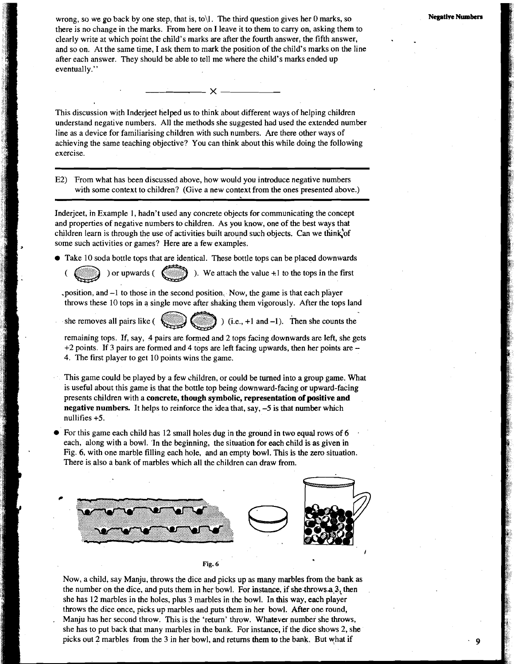**Negative Numbers** 

wrong, so we go back by one step, that is, to\l . The third question gives her **0** marks, so there is no change in the marks. From here on I leave it to them to carry on, asking them to clearly write at which point the child's marks are after the fourth answer, the fifth answer, and so on. At the same time, I ask them to mark the position of the child's marks on the line after each answer. They should be able to tell me where the child's marks ended up eventually."

This discussion with Inderjeet helped us to think about different ways of helping children understand negative numbers. All the methods she suggested had used the extended number line as a device for familiarising children with such numbers. Are there other ways of achieving the same teaching objective? You can think about this while doing the following exercise.

 $\frac{1}{2}$   $\times$   $\frac{1}{2}$ 

E2) From what has been discussed above, how would you introduce negative numbers with some context to children? (Give a new context from the ones presented above.)

Inderjeet, in Example 1, hadn't used any concrete objects for communicating the concept and properties of negative numbers to children. As you know, one of the best ways that children learn is through the use of activities built around such objects. Can we think of some such activities or games? Here are a few examples.

 $\bullet$  Take 10 soda bottle tops that are identical. These bottle tops can be placed downwards

(a) ) or upwards ( $\binom{2}{k}$ ). We attach the value +1 to the tops in the first

- .position, and -1 to those in the second position.. Now, the game is that each player throws these 10 tops in a single move after shaking them vigorously. After the tops land
- she removes all pairs like  $($
- 

remaining tops. If, say, 4 pairs are formed and 2 tops facing downwards are left, she gets  $+2$  points. If 3 pairs are formed and 4 tops are left facing upwards, then her points are  $-$ 4. The first player to get 10 points wins the game.

This game could be played by a few children, or could be turned into a group game. What is useful about this game is that the bottle top being downward-facing or upward-facing presents children with a concrete, though symbolic, representation of positive and negative numbers. It helps to reinforce the idea that, say,  $-5$  is that number which nullifies +5.

For this game each child has 12 small holes dug in the ground in two equal rows of 6 each, along with a bowl. 'In the beginning, the situation for each child is as given in Fig. 6, with one marble filling each hole, and an empty bowl. This is the zero situation. There is also a bank of marbles which all the children can draw from.



Now, a child, say Manju, throws the dice and picks up as many marbles from the bank as the number on the dice, and puts them in her bowl. For instance, if she-throwsa3, then she has 12 marbles in the holes, plus 3 marbles in the bowl. In this way, each player throws the dice once, picks up marbles and puts them in her bowl. After one round, . Manju has her second throw. This is the 'return' throw. Whatever number she throws, she has to put back that many marbles in the bank. For instance, if the dice shows 2, she picks out 2 marbles from the 3 in her bowl, and returns them to the bank. But what if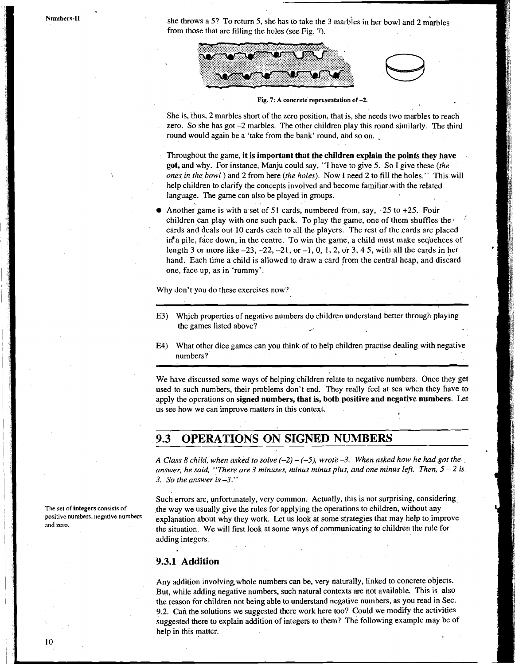Numbers-II

she throws a 5? To return 5, she has to take the 3 marbles in her bowl and 2 marbles from those that are filling the hoies (see Fig. 7).





Fig. 7: A concrete representation of -2.

She is, thus, 2 marbles short of the zero position, that is, she needs two marbles to reach zero. So she has got -2 marbles. The other children play this round similarly. The third round would again be a 'take from the bank' round, and so on.

Throughout the game, it is important that the children explain the points they have **got,** and why. For instance, Manju could say, "I have to give 5. So I give these *(the ones in the bowl* ) and **2** from here *(the holes).* Now *I* need 2 to fill the holes." This will help children to clarify the concepts involved and become familiar with the related language. The game can also be played in groups.

Another game is with a set of 51 cards, numbered from, say,  $-25$  to  $+25$ . Four children can play with one such pack. To play the game, one of them shuffles the. cards and deals out 10 cards each to all the players. The rest of the cards are placed  $\inf$  a pile, face down, in the centre. To win the game, a child must make sequences of length 3 or more like **-23, -22, -21,** or **-1, 0, l,2,** or **3,4 5,** with all the cards in her hand. Each time a child is allowed to draw a card from the central heap, and discard one, face up, as in 'rummy'.

Why don't you do these exercises now?

- E3) Which properties of negative numbers do children understand better through playing the games listed above?
- $E4$ What other dice games can you think of to help children practise dealing with negative numbers?

We have discussed some ways of helping children relate to negative numbers; Once they get used to such numbers, their problems don't end. They really feel at sea when they have to apply the operations on **signed numbers, that is, both positive and negative numbers.** Let us see how we can improve matters in this context.

#### **OPERATIONS ON SIGNED NUMBERS** 9.3

*answer, he said, "There are* **3** *minuses, minus minus plus, and one minus left. Then, 5* - *2 is*  **3.** *So the answer is* **-3."** 

Such errors are, unfortunately, very common. Actually, this is not surprising, considering the way we usually give the rules for applying the operations to children, without any explanation about why they work. Let us look at some strategies that may help to improve the situation. We will first look at some ways of communicating to children the rule for adding integers.

#### 9.3.1 **Addition**

Any addition involving whole numbers can be, very naturally, linked to concrete objects. But, while adding negative numbers, such natural contexts are not available. This is also the reason for children not being able to understand negative numbers, as you read in Sec. **9.2.** Can the solutions we suggested there work here too? Could we modify the activities suggested there to explain addition of integers to them? The following example may be of help in this matter.

**The set of integers consists of positive numbers, negative numbers**  and zero.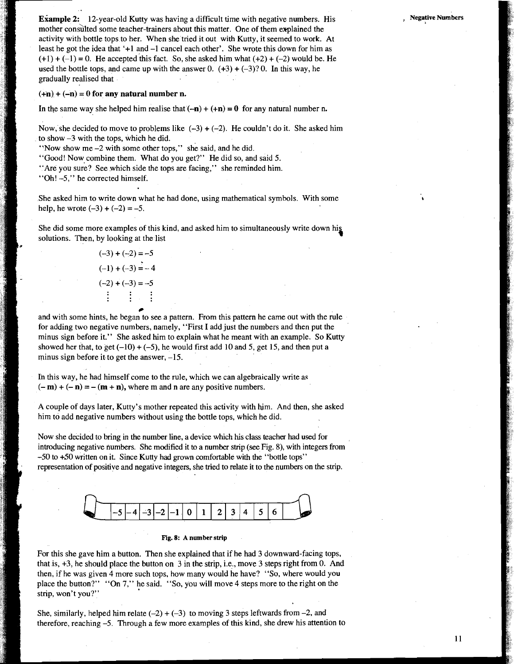#### $(+n) + (-n) = 0$  for any natural number n.

In the same way she helped him realise that  $(-n) + (+n) = 0$  for any natural number n.

Now, she decided to move to problems like  $(-3) + (-2)$ . He couldn't do it. She asked him to show -3 with the tops, which he did.

"Now show me  $-2$  with some other tops," she said, and he did.

"Good! Now combine them. What do you get?" He did so, and said 5.

"Are you sure? See which side the tops are facing," she reminded him.

"Oh! -5," he corrected himself.

\*

#

She asked him to write down what he had done, using mathematical symbols. With some help, he wrote  $(-3) + (-2) = -5$ .

She did some more examples of this kind, and asked him to simultaneously write down hi solutions. Then, by looking at the list

$$
(-3) + (-2) = -5
$$
  
\n
$$
(-1) + (-3) = -4
$$
  
\n
$$
(-2) + (-3) = -5
$$
  
\n
$$
\vdots
$$
  
\n
$$
\vdots
$$

and with some hints, he began to see a pattern. From this pattern he came out with the rule for adding two negative numbers, namely, "First I add just the numbers and then put the minus sign before it." She asked him to explain what he meant with an example. So Kutty showed her that, to get  $(-10) + (-5)$ , he would first add 10 and 5, get 15, and then put a minus sign before it to get the answer,  $-15$ .

Ih this way, he had himself come to the rule, which we can algebraically write as  $(-\mathbf{m}) + (-\mathbf{n}) = -(\mathbf{m} + \mathbf{n})$ , where m and n are any positive numbers.

A couple of days later, Kutty's mother repeated this activity with him. And then, she asked him to add negative numbers without using the bottle tops, which he did.

Now she decided to bring in the number line, a device which his class teacher had used for introducing negative numbers. She modified it to a number strip (see Fig. **8),** with integers from -50 to +50 written on it. Since Kutty had grown comfortable with the "bottle tops" representation of positive and negative integers, she tried to relate it to the numbers on the strip.



#### **Fig. 8: A number strip**

For this she gave him a button. Then she explained that if he had 3 downward-facing tops, that is, +3, he should place the button on 3 in the strip, i.e., move 3 steps right from 0. And then, if he was given 4 more such tops, how many would he have? "So, where would you place the button?" "On 7," he said. "So, you will move 4 steps more to the right on the strip, won't you?"

She, similarly, helped him relate  $(-2) + (-3)$  to moving 3 steps leftwards from -2, and therefore, reaching -5. Through a few more examples of this kind, she drew his attention to , **Negative Numbers**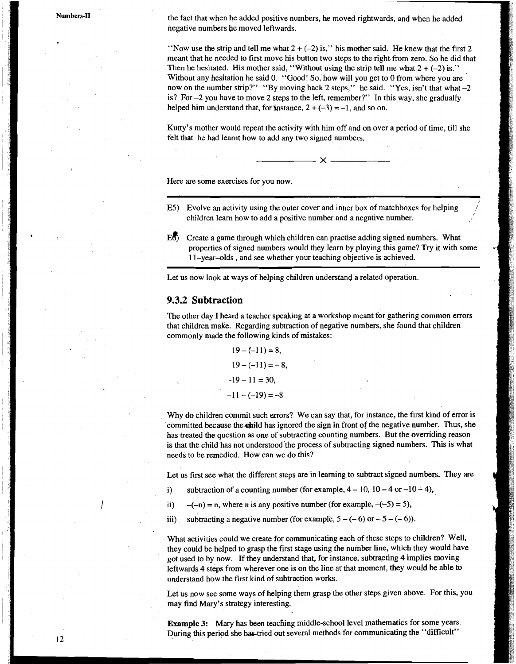Numbers-II

the fact that when he added positive numbers, he moved rightwards, and when he added negative numbers be moved leftwards.

"Now use the strip and tell me what  $2 + (-2)$  is," his mother said. He knew that the first 2 meant that he needed to first move his button two steps to the right from zero. So he did that Then he hesitated. His mother said, "Without using the strip tell me what  $2 + (-2)$  is." Without any hesitation he said 0. "Good! So, how will you get to **0** from where you are now on the number strip?" "By moving back 2 steps," he said. "Yes, isn't that what -2 is? For -2 you have to move 2 steps to the left, remember?" In this way, she gradually helped him understand that, for **i**nstance,  $2 + (-3) = -1$ , and so on.

Kutty's mother would repeat the activity with him off and on over a period of time, till she felt that he had learnt how to add any two signed numbers.

 $- \times$ .

Here are some exercises for you now.

- E5) Evolve an activity using the outer cover and inner box of matchboxes for helping children learn how to add a positive number and a negative number.
- **~b)** Create a game through which children can practise adding signed numbers. What properties of signed numbers would they learn by playing this game? **Try** it with some 11-year-olds, and see whether your teaching objective is achieved.

*t* 

Let us now look at ways of helping children understand a related operation.

#### **9.3.2 Subtraction**

The other day I heard a teacher speaking at a workshop meant for gathering common errors that children make. Regarding subtraction of negative numbers, she found that children commonly made the following kinds of mistakes:

> $19 - (-11) = 8$ ,  $19 - (-11) = -8$  $-19 - 11 = 30$ ,  $-11 - (-19) = -8$

Why do children commit such errors? We can say that, for instance, the first kind of error is committed because the child has ignored the sign in front of the negative number. Thus, she has treated the question as one of subtracting counting numbers. But the overriding reason is that the child has not understood'the process of subtracting signed numbers. This is what needs to be remedied. How can we do this?

Let us first see what the different steps are in learning to subtract signed numbers. They are

- i) subtraction of a counting number (for example,  $4 10$ ,  $10 4$  or  $-10 4$ ),
- ii)  $-(-n) = n$ , where n is any positive number (for example,  $-(-5) = 5$ ),
- iii) subtracting a negative number (for example,  $5 (-6)$  or  $-5 (-6)$ ).

What activities could we create for communicating each of these steps to children? Well, they could be helped to grasp the first stage using the number line, which they would have got used to by now. If they understand that, for instance, subtracting 4 implies moving leftwards 4 steps from wherever one is on the line at that moment, they would be able to understand how the first kind of subtraction works.

Let us now see some ways of helping them grasp the other steps given above. For this, you may find Mary's strategy interesting.

Example 3: Mary has been teaching middle-school level mathematics for some years. During this period she has tried out several methods for communicating the "difficult"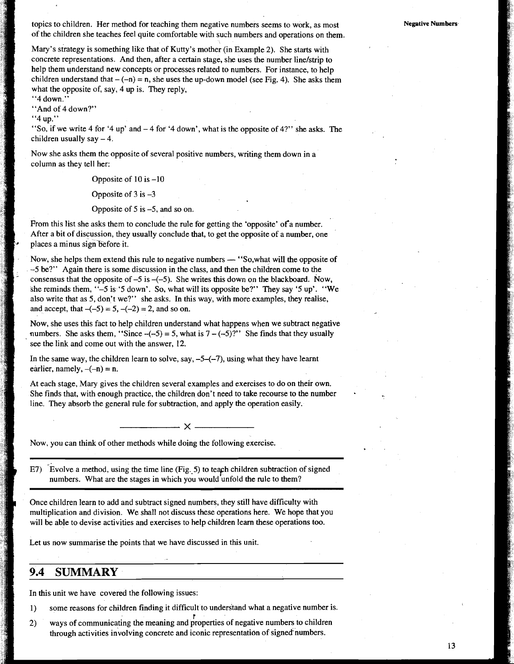topics to children. Her method for teaching them negative numbers seems to work, as most of the children she teaches feel quite comfortable with such numbers and operations on them.

Mary's strategy is something like that of Kutty's mother (in Example 2). She starts with concrete representations. And then, after a certain stage, she uses the number linelstrip to help them understand new concepts or processes related to numbers. For instance, to help children understand that  $-(-n) = n$ , she uses the up-down model (see Fig. 4). She asks them what the opposite of, say, 4 up is. They reply,

"4 down."

"And of 4 down?"

, "4up."

 $\mathbb{Z}^{\mathbb{Z}}$ 

"So, if we write 4 for '4 up' and  $-4$  for '4 down', what is the opposite of 4?" she asks. The children usually say  $-4$ .

Now she asks them the opposite of several positive numbers, writing them down in a column as they tell her:

Opposite of  $10$  is  $-10$ 

Opposite of  $3$  is  $-3$ 

Opposite of  $5$  is  $-5$ , and so on.

From this list she asks them to conclude the rule for getting the 'opposite' of a number. After a bit of discussion, they usually conclude that, to get the opposite of a number, one places a minus sign before it.

Now, she helps them extend this rule to negative numbers — "So, what will the opposite of -5 be?" Again there is some discussion in the class, and then the children come to the consensus that the opposite of  $-5$  is  $-(-5)$ . She writes this down on the blackboard. Now, she reminds them, " $-5$  is '5 down'. So, what will its opposite be?" They say '5 up'. "We also write that as 5, don't we?" she asks. In this way, with more examples, they realise, and accept, that  $-(-5) = 5$ ,  $-(-2) = 2$ , and so on.

Now, she uses this fact to help children understand what happens when we subtract negative numbers. She asks them, "Since  $-(-5) = 5$ , what is  $7 - (-5)$ " She finds that they usually see the link and come out with the answer, 12.

In the same way, the children learn to solve, say,  $-5-(-7)$ , using what they have learnt earlier, namely,  $-(-n) = n$ .

At each stage, Mary gives the children several examples and exercises to do on their own. She finds that, with enough practice, the children don't need to take recourse to the number line. They absorb the general rule for subtraction, and apply the operation easily.

 $\mathsf{x}$ 

Now, you can think of other methods while doing the following exercise.

 $E7$ ) Evolve a method, using the time line (Fig. 5) to teach children subtraction of signed numbers. What are the stages in which you would unfold the rule to them?

Once children learn to add and subtract signed numbers, they still have difficulty with multiplication and division. We shall not discuss these operations here. We hope that you will be able to devise activities and exercises to help children learn these operations too.

Let us now summarise the points that we have discussed in this unit.

### **9.4 SUMMARY**

In this unit we have covered the following issues:

1) some reasons for children finding it difficult to understand what a negative number is.

2) ways of communicating the meaning and properties of negative numbers to children through activities involving concrete and iconic representation of signed numbers.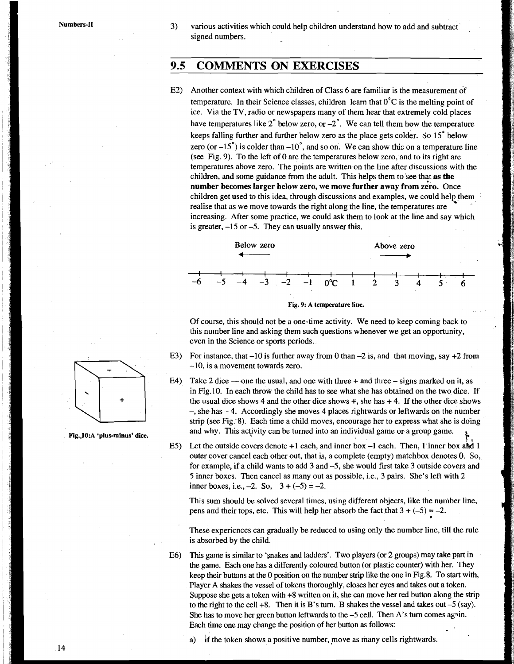## **9.5 COMMENTS ON EXERCISES**

E2) Another context with which children of Class 6 are familiar is the measurement of temperature. In their Science classes, children learn that  $0^{\circ}$ C is the melting point of ice. Via the **TV,** radio or newspapers many of them hear that extremely cold places have temperatures like  $2^{\circ}$  below zero, or  $-2^{\circ}$ . We can tell them how the temperature keeps falling further and further below zero as the place gets colder. So 15' below zero (or  $-15^{\circ}$ ) is colder than  $-10^{\circ}$ , and so on. We can show this on a temperature line (see Fig. 9). To the left of 0 are the temperatures below zero, and to its right are temperatures above zero. The points are written on the line after discussions with the children, and some guidance from the adult. This helps them to see that **as the**  number becomes larger below zero, we move further away from zero. Once children get used to this idea, through discussions and examples, we could help them realise that as we move towards the right along the line, the temperatures are increasing. After some practice, we could ask them to look at the line and say which is greater,  $-15$  or  $-5$ . They can usually answer this. Fine arter discussions<br>s them to see that **as therefore**<br>the state of the second hereon contracts are<br>look at the line and say<br>Above zero





Of course, this should not be a one-time activity. We need to keep coming back to this number line and asking them such questions whenever we get an opportunity, even in the Science or sports periods.

- E3) For instance, that  $-10$  is further away from 0 than  $-2$  is, and that moving, say  $+2$  from -10, is a movement towards zero.
- E4) Take 2 dice one the usual, and one with three  $+$  and three  $-$  signs marked on it, as in Fig.10. In each throw the child has to see what she has obtained on the two dice. If the usual dice shows 4 and the other dice shows  $+$ , she has  $+4$ . If the other dice shows  $-$ , she has  $-4$ . Accordingly she moves 4 places rightwards or leftwards on the number strip (see Fig. 8). Each time a child moves, encourage her to express what she is doing Fig. 10:A 'plus-minus' dice. and why. This activity can be turned into an individual game or a group game.<br>E5) Let the outside covers denote +1 each, and inner box -1 each. Then, 1 inner box and 1
	- outer cover cancel each other out, that is, a complete (empty) matchbox denotes **0.** So, for example, if a child wants to add 3 and -5, she would first take 3 outside covers and 5 inner boxes. Then cancel as many out as possible, i.e., 3 pairs. She's left with 2 inner boxes, i.e.,  $-2$ . So,  $3 + (-5) = -2$ .

This sum should be solved several times, using different objects, like the number line, pens and their tops, etc. This will help her absorb the fact that  $3 + (-5) = -2$ .

These experiences can gradually be reduced to using only the number line, till the rule is absorbed by the child.

E6) This game is similar to 'snakes and laddes'. Two players (or 2 groups) may take part in the game. Each one has a differently coloured button (or plastic counter) with her. They keep their buttons at the 0 position on the number strip like the one in Fig.8. To start with, Player A shakes the vessel of tokens thoroughly, closes her eyes and takes out a token. Suppose she gets a token with +8 written on it, she can move her red button along the strip to the right to the cell  $+8$ . Then it is B's turn. B shakes the vessel and takes out  $-5$  (say). She has to move her green button leftwards to the  $-5$  cell. Then A's turn comes again. Each time one may change the position of her button as follows:

if the token shows a positive number, move as many cells rightwards.